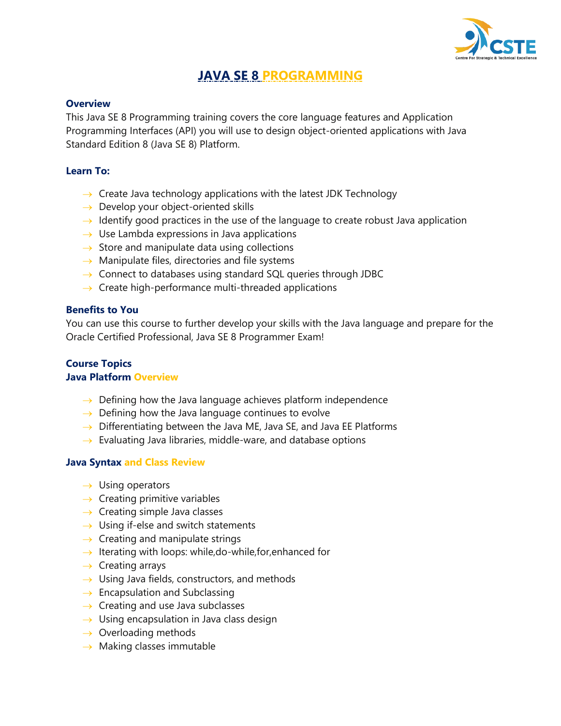

# **JAVA SE 8 PROGRAMMING**

### **Overview**

This Java SE 8 Programming training covers the core language features and Application Programming Interfaces (API) you will use to design object-oriented applications with Java Standard Edition 8 (Java SE 8) Platform.

### **Learn To:**

- $\rightarrow$  Create Java technology applications with the latest JDK Technology
- $\rightarrow$  Develop your object-oriented skills
- $\rightarrow$  Identify good practices in the use of the language to create robust Java application
- $\rightarrow$  Use Lambda expressions in Java applications
- $\rightarrow$  Store and manipulate data using collections
- $\rightarrow$  Manipulate files, directories and file systems
- $\rightarrow$  Connect to databases using standard SQL queries through JDBC
- $\rightarrow$  Create high-performance multi-threaded applications

#### **Benefits to You**

You can use this course to further develop your skills with the Java language and prepare for the Oracle Certified Professional, Java SE 8 Programmer Exam!

## **Course Topics Java Platform Overview**

- $\rightarrow$  Defining how the Java language achieves platform independence
- $\rightarrow$  Defining how the Java language continues to evolve
- $\rightarrow$  Differentiating between the Java ME, Java SE, and Java EE Platforms
- $\rightarrow$  Evaluating Java libraries, middle-ware, and database options

#### **Java Syntax and Class Review**

- $\rightarrow$  Using operators
- $\rightarrow$  Creating primitive variables
- $\rightarrow$  Creating simple Java classes
- $\rightarrow$  Using if-else and switch statements
- $\rightarrow$  Creating and manipulate strings
- $\rightarrow$  Iterating with loops: while,do-while, for, enhanced for
- $\rightarrow$  Creating arrays
- $\rightarrow$  Using Java fields, constructors, and methods
- $\rightarrow$  Encapsulation and Subclassing
- $\rightarrow$  Creating and use Java subclasses
- $\rightarrow$  Using encapsulation in Java class design
- $\rightarrow$  Overloading methods
- $\rightarrow$  Making classes immutable